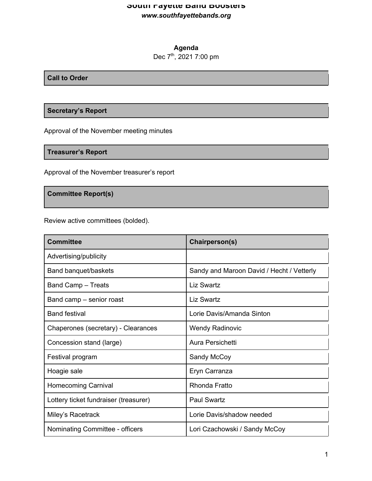## **South Fayette Band Boosters** *www.southfayettebands.org*

# **Agenda**

# Dec 7<sup>th</sup>, 2021 7:00 pm

#### **Call to Order**

## **Secretary's Report**

Approval of the November meeting minutes

## **Treasurer's Report**

Approval of the November treasurer's report

## **Committee Report(s)**

Review active committees (bolded).

| <b>Committee</b>                      | Chairperson(s)                            |
|---------------------------------------|-------------------------------------------|
| Advertising/publicity                 |                                           |
| Band banquet/baskets                  | Sandy and Maroon David / Hecht / Vetterly |
| <b>Band Camp - Treats</b>             | Liz Swartz                                |
| Band camp – senior roast              | <b>Liz Swartz</b>                         |
| <b>Band festival</b>                  | Lorie Davis/Amanda Sinton                 |
| Chaperones (secretary) - Clearances   | <b>Wendy Radinovic</b>                    |
| Concession stand (large)              | Aura Persichetti                          |
| Festival program                      | Sandy McCoy                               |
| Hoagie sale                           | Eryn Carranza                             |
| <b>Homecoming Carnival</b>            | Rhonda Fratto                             |
| Lottery ticket fundraiser (treasurer) | <b>Paul Swartz</b>                        |
| Miley's Racetrack                     | Lorie Davis/shadow needed                 |
| Nominating Committee - officers       | Lori Czachowski / Sandy McCoy             |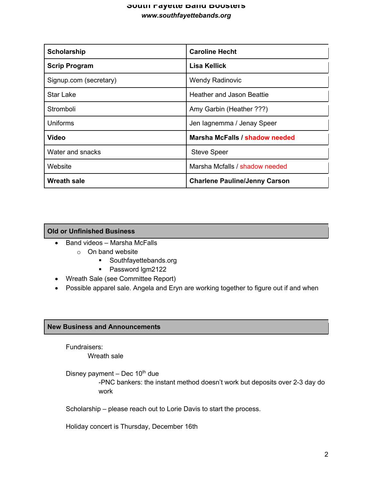## **South Fayette Band Boosters** *www.southfayettebands.org*

| Scholarship            | <b>Caroline Hecht</b>                |
|------------------------|--------------------------------------|
| <b>Scrip Program</b>   | Lisa Kellick                         |
| Signup.com (secretary) | <b>Wendy Radinovic</b>               |
| <b>Star Lake</b>       | Heather and Jason Beattie            |
| Stromboli              | Amy Garbin (Heather ???)             |
| <b>Uniforms</b>        | Jen lagnemma / Jenay Speer           |
| <b>Video</b>           | Marsha McFalls / shadow needed       |
| Water and snacks       | <b>Steve Speer</b>                   |
| Website                | Marsha Mcfalls / shadow needed       |
| <b>Wreath sale</b>     | <b>Charlene Pauline/Jenny Carson</b> |

## **Old or Unfinished Business**

- Band videos Marsha McFalls
	- o On band website
		- § Southfayettebands.org
		- Password Igm2122
- Wreath Sale (see Committee Report)
- Possible apparel sale. Angela and Eryn are working together to figure out if and when

#### **New Business and Announcements**

Fundraisers:

Wreath sale

Disney payment – Dec  $10^{th}$  due

-PNC bankers: the instant method doesn't work but deposits over 2-3 day do work

Scholarship – please reach out to Lorie Davis to start the process.

Holiday concert is Thursday, December 16th